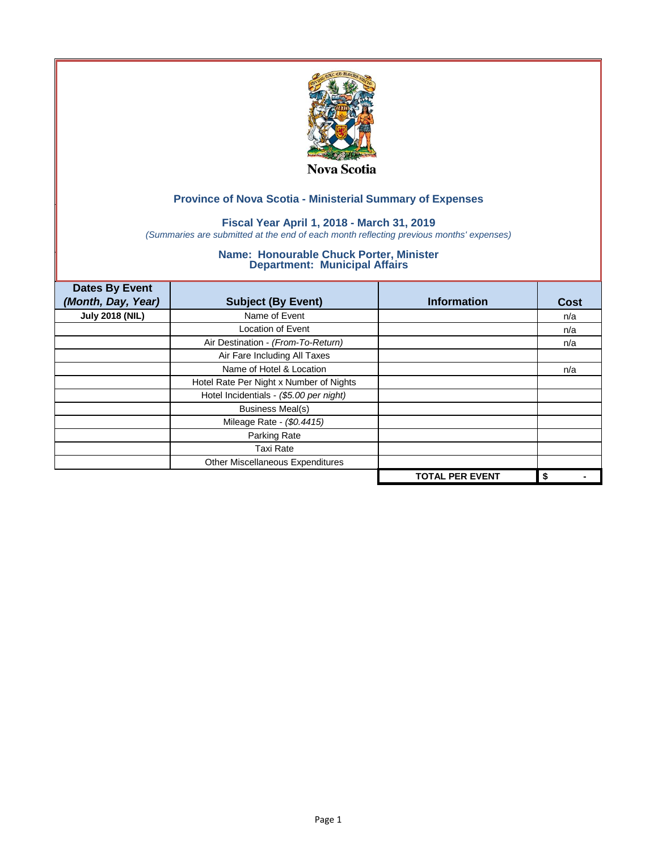

## **Fiscal Year April 1, 2018 - March 31, 2019**

*(Summaries are submitted at the end of each month reflecting previous months' expenses)*

| <b>Dates By Event</b><br>(Month, Day, Year) | <b>Subject (By Event)</b>               | <b>Information</b>     | <b>Cost</b> |
|---------------------------------------------|-----------------------------------------|------------------------|-------------|
| <b>July 2018 (NIL)</b>                      | Name of Event                           |                        | n/a         |
|                                             | <b>Location of Event</b>                |                        | n/a         |
|                                             | Air Destination - (From-To-Return)      |                        | n/a         |
|                                             | Air Fare Including All Taxes            |                        |             |
|                                             | Name of Hotel & Location                |                        | n/a         |
|                                             | Hotel Rate Per Night x Number of Nights |                        |             |
|                                             | Hotel Incidentials - (\$5.00 per night) |                        |             |
|                                             | <b>Business Meal(s)</b>                 |                        |             |
|                                             | Mileage Rate - (\$0.4415)               |                        |             |
|                                             | Parking Rate                            |                        |             |
|                                             | <b>Taxi Rate</b>                        |                        |             |
|                                             | Other Miscellaneous Expenditures        |                        |             |
|                                             |                                         | <b>TOTAL PER EVENT</b> | \$          |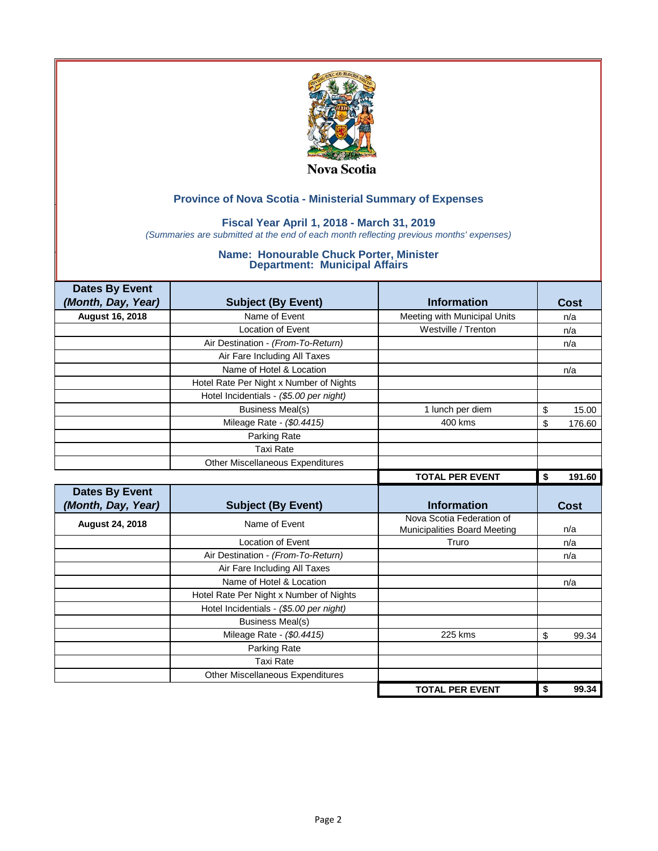

## **Fiscal Year April 1, 2018 - March 31, 2019**

*(Summaries are submitted at the end of each month reflecting previous months' expenses)*

| <b>Dates By Event</b>  |                                         |                                                           |              |
|------------------------|-----------------------------------------|-----------------------------------------------------------|--------------|
| (Month, Day, Year)     | <b>Subject (By Event)</b>               | <b>Information</b>                                        | Cost         |
| August 16, 2018        | Name of Event                           | Meeting with Municipal Units                              | n/a          |
|                        | <b>Location of Event</b>                | Westville / Trenton                                       | n/a          |
|                        | Air Destination - (From-To-Return)      |                                                           | n/a          |
|                        | Air Fare Including All Taxes            |                                                           |              |
|                        | Name of Hotel & Location                |                                                           | n/a          |
|                        | Hotel Rate Per Night x Number of Nights |                                                           |              |
|                        | Hotel Incidentials - (\$5.00 per night) |                                                           |              |
|                        | <b>Business Meal(s)</b>                 | 1 lunch per diem                                          | \$<br>15.00  |
|                        | Mileage Rate - (\$0.4415)               | 400 kms                                                   | \$<br>176.60 |
|                        | Parking Rate                            |                                                           |              |
|                        | <b>Taxi Rate</b>                        |                                                           |              |
|                        | Other Miscellaneous Expenditures        |                                                           |              |
|                        |                                         | <b>TOTAL PER EVENT</b>                                    | 191.60<br>\$ |
|                        |                                         |                                                           |              |
| <b>Dates By Event</b>  |                                         |                                                           |              |
| (Month, Day, Year)     | <b>Subject (By Event)</b>               | <b>Information</b>                                        | <b>Cost</b>  |
| <b>August 24, 2018</b> | Name of Event                           | Nova Scotia Federation of<br>Municipalities Board Meeting | n/a          |
|                        | <b>Location of Event</b>                | Truro                                                     | n/a          |
|                        | Air Destination - (From-To-Return)      |                                                           | n/a          |
|                        | Air Fare Including All Taxes            |                                                           |              |
|                        | Name of Hotel & Location                |                                                           | n/a          |
|                        | Hotel Rate Per Night x Number of Nights |                                                           |              |
|                        | Hotel Incidentials - (\$5.00 per night) |                                                           |              |
|                        | <b>Business Meal(s)</b>                 |                                                           |              |
|                        | Mileage Rate - (\$0.4415)               | 225 kms                                                   | \$<br>99.34  |
|                        | Parking Rate                            |                                                           |              |
|                        | <b>Taxi Rate</b>                        |                                                           |              |
|                        | <b>Other Miscellaneous Expenditures</b> |                                                           |              |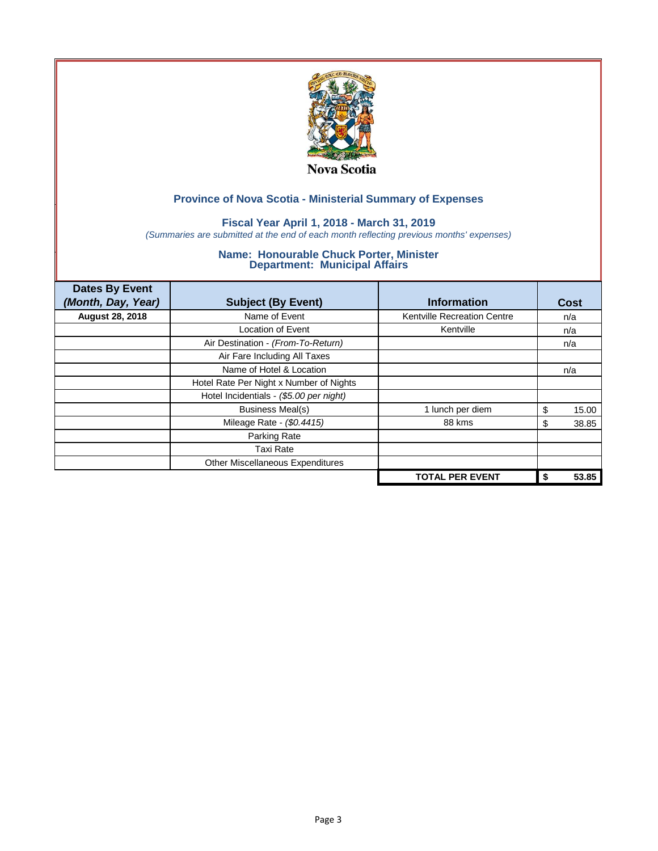

## **Fiscal Year April 1, 2018 - March 31, 2019**

*(Summaries are submitted at the end of each month reflecting previous months' expenses)*

| <b>Dates By Event</b><br>(Month, Day, Year) | <b>Subject (By Event)</b>               | <b>Information</b>                 | Cost        |
|---------------------------------------------|-----------------------------------------|------------------------------------|-------------|
| <b>August 28, 2018</b>                      | Name of Event                           | <b>Kentville Recreation Centre</b> | n/a         |
|                                             | <b>Location of Event</b>                | Kentville                          | n/a         |
|                                             | Air Destination - (From-To-Return)      |                                    | n/a         |
|                                             | Air Fare Including All Taxes            |                                    |             |
|                                             | Name of Hotel & Location                |                                    | n/a         |
|                                             | Hotel Rate Per Night x Number of Nights |                                    |             |
|                                             | Hotel Incidentials - (\$5.00 per night) |                                    |             |
|                                             | <b>Business Meal(s)</b>                 | 1 lunch per diem                   | \$<br>15.00 |
|                                             | Mileage Rate - (\$0.4415)               | 88 kms                             | 38.85<br>S  |
|                                             | Parking Rate                            |                                    |             |
|                                             | <b>Taxi Rate</b>                        |                                    |             |
|                                             | Other Miscellaneous Expenditures        |                                    |             |
|                                             |                                         | <b>TOTAL PER EVENT</b>             | 53.85<br>\$ |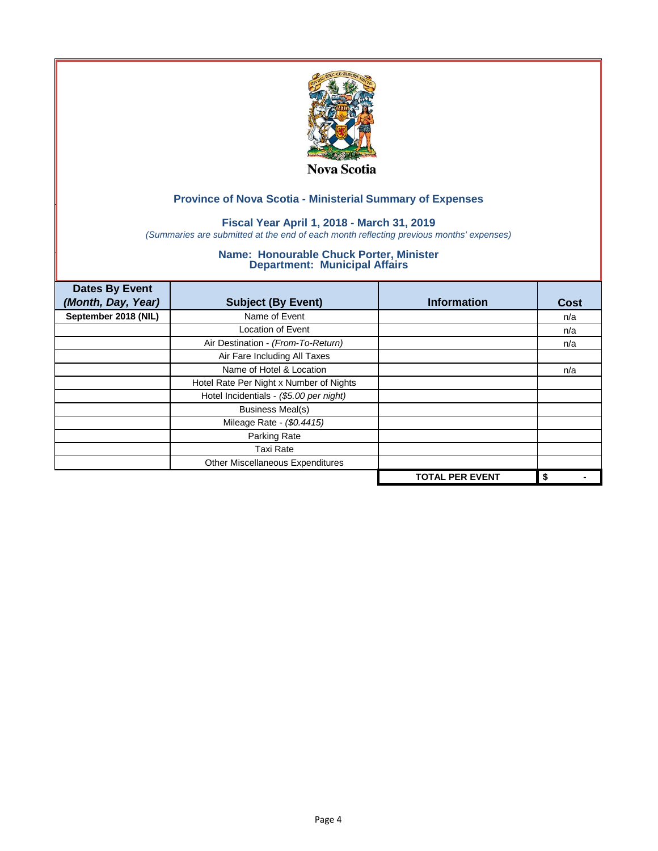

## **Fiscal Year April 1, 2018 - March 31, 2019**

*(Summaries are submitted at the end of each month reflecting previous months' expenses)*

| <b>Dates By Event</b><br>(Month, Day, Year) | <b>Subject (By Event)</b>               | <b>Information</b>     | <b>Cost</b> |
|---------------------------------------------|-----------------------------------------|------------------------|-------------|
| September 2018 (NIL)                        | Name of Event                           |                        | n/a         |
|                                             | <b>Location of Event</b>                |                        | n/a         |
|                                             | Air Destination - (From-To-Return)      |                        | n/a         |
|                                             | Air Fare Including All Taxes            |                        |             |
|                                             | Name of Hotel & Location                |                        | n/a         |
|                                             | Hotel Rate Per Night x Number of Nights |                        |             |
|                                             | Hotel Incidentials - (\$5.00 per night) |                        |             |
|                                             | <b>Business Meal(s)</b>                 |                        |             |
|                                             | Mileage Rate - (\$0.4415)               |                        |             |
|                                             | Parking Rate                            |                        |             |
|                                             | <b>Taxi Rate</b>                        |                        |             |
|                                             | Other Miscellaneous Expenditures        |                        |             |
|                                             |                                         | <b>TOTAL PER EVENT</b> | \$          |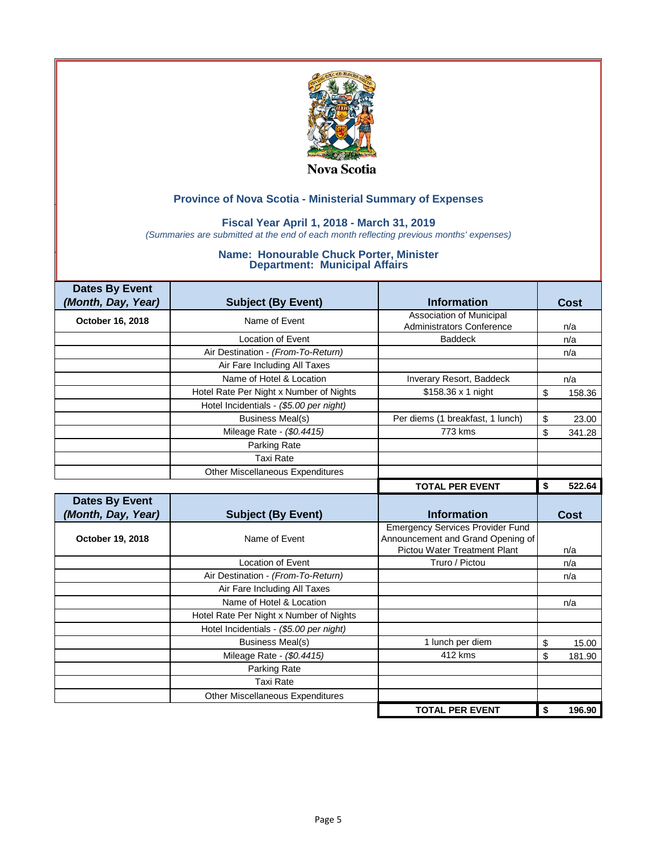

## **Fiscal Year April 1, 2018 - March 31, 2019**

*(Summaries are submitted at the end of each month reflecting previous months' expenses)*

| <b>Dates By Event</b> |                                                          |                                                                              |              |
|-----------------------|----------------------------------------------------------|------------------------------------------------------------------------------|--------------|
| (Month, Day, Year)    | <b>Subject (By Event)</b>                                | <b>Information</b>                                                           | Cost         |
| October 16, 2018      | Name of Event                                            | <b>Association of Municipal</b>                                              |              |
|                       |                                                          | <b>Administrators Conference</b>                                             | n/a          |
|                       | <b>Location of Event</b>                                 | <b>Baddeck</b>                                                               | n/a          |
|                       | Air Destination - (From-To-Return)                       |                                                                              | n/a          |
|                       | Air Fare Including All Taxes                             |                                                                              |              |
|                       | Name of Hotel & Location                                 | Inverary Resort, Baddeck                                                     | n/a          |
|                       | Hotel Rate Per Night x Number of Nights                  | \$158.36 x 1 night                                                           | \$<br>158.36 |
|                       | Hotel Incidentials - (\$5.00 per night)                  |                                                                              |              |
|                       | <b>Business Meal(s)</b>                                  | Per diems (1 breakfast, 1 lunch)                                             | \$<br>23.00  |
|                       | Mileage Rate - (\$0.4415)                                | 773 kms                                                                      | \$<br>341.28 |
|                       | Parking Rate                                             |                                                                              |              |
|                       | <b>Taxi Rate</b>                                         |                                                                              |              |
|                       | Other Miscellaneous Expenditures                         |                                                                              |              |
|                       |                                                          | <b>TOTAL PER EVENT</b>                                                       | 522.64<br>\$ |
|                       |                                                          |                                                                              |              |
| <b>Dates By Event</b> |                                                          |                                                                              |              |
| (Month, Day, Year)    | <b>Subject (By Event)</b>                                | <b>Information</b>                                                           | Cost         |
| October 19, 2018      | Name of Event                                            | <b>Emergency Services Provider Fund</b><br>Announcement and Grand Opening of | n/a          |
|                       | <b>Location of Event</b>                                 | Pictou Water Treatment Plant<br>Truro / Pictou                               |              |
|                       |                                                          |                                                                              | n/a          |
|                       | Air Destination - (From-To-Return)                       |                                                                              | n/a          |
|                       | Air Fare Including All Taxes<br>Name of Hotel & Location |                                                                              |              |
|                       |                                                          |                                                                              | n/a          |
|                       | Hotel Rate Per Night x Number of Nights                  |                                                                              |              |
|                       | Hotel Incidentials - (\$5.00 per night)                  |                                                                              |              |
|                       | <b>Business Meal(s)</b>                                  | 1 lunch per diem<br>412 kms                                                  | \$<br>15.00  |
|                       | Mileage Rate - (\$0.4415)                                |                                                                              | \$<br>181.90 |
|                       | Parking Rate                                             |                                                                              |              |
|                       | <b>Taxi Rate</b><br>Other Miscellaneous Expenditures     |                                                                              |              |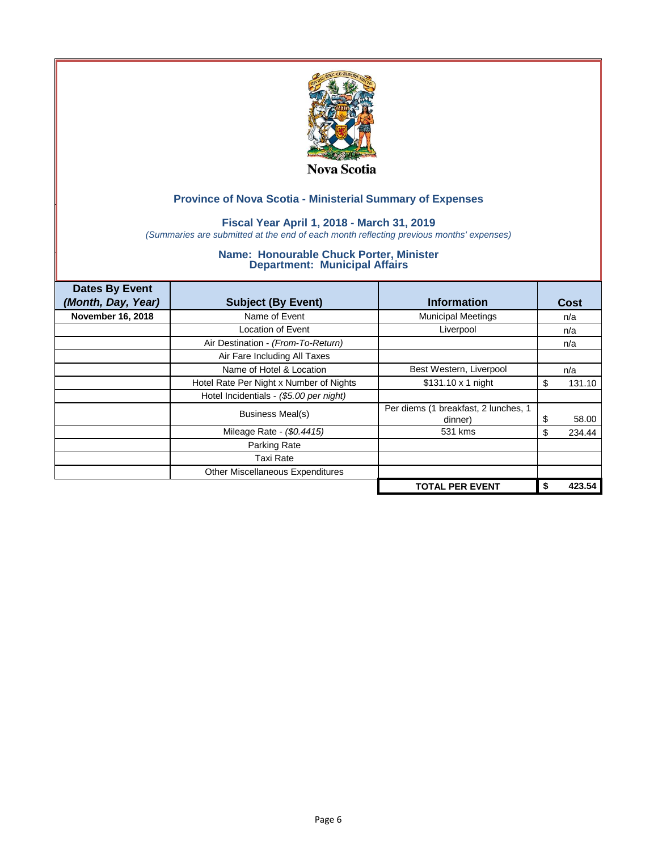

## **Fiscal Year April 1, 2018 - March 31, 2019**

*(Summaries are submitted at the end of each month reflecting previous months' expenses)*

| <b>Dates By Event</b><br>(Month, Day, Year) | <b>Subject (By Event)</b>               | <b>Information</b>                              | Cost         |
|---------------------------------------------|-----------------------------------------|-------------------------------------------------|--------------|
| November 16, 2018                           | Name of Event                           | <b>Municipal Meetings</b>                       | n/a          |
|                                             | Location of Event                       | Liverpool                                       | n/a          |
|                                             | Air Destination - (From-To-Return)      |                                                 | n/a          |
|                                             | Air Fare Including All Taxes            |                                                 |              |
|                                             | Name of Hotel & Location                | Best Western, Liverpool                         | n/a          |
|                                             | Hotel Rate Per Night x Number of Nights | $$131.10 \times 1$ night                        | \$<br>131.10 |
|                                             | Hotel Incidentials - (\$5.00 per night) |                                                 |              |
|                                             | Business Meal(s)                        | Per diems (1 breakfast, 2 lunches, 1<br>dinner) | 58.00<br>S   |
|                                             | Mileage Rate - (\$0.4415)               | 531 kms                                         | 234.44<br>S  |
|                                             | Parking Rate                            |                                                 |              |
|                                             | Taxi Rate                               |                                                 |              |
|                                             | Other Miscellaneous Expenditures        |                                                 |              |
|                                             |                                         | <b>TOTAL PER EVENT</b>                          | 423.54       |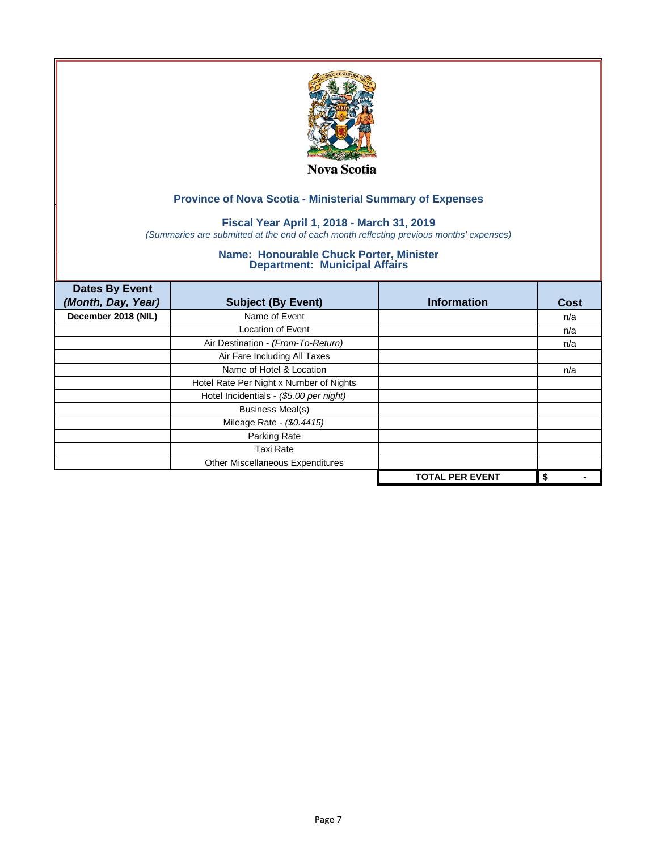

## **Fiscal Year April 1, 2018 - March 31, 2019**

*(Summaries are submitted at the end of each month reflecting previous months' expenses)*

| <b>Dates By Event</b><br>(Month, Day, Year) | <b>Subject (By Event)</b>               | <b>Information</b>     | <b>Cost</b> |
|---------------------------------------------|-----------------------------------------|------------------------|-------------|
| December 2018 (NIL)                         | Name of Event                           |                        | n/a         |
|                                             | <b>Location of Event</b>                |                        | n/a         |
|                                             | Air Destination - (From-To-Return)      |                        | n/a         |
|                                             | Air Fare Including All Taxes            |                        |             |
|                                             | Name of Hotel & Location                |                        | n/a         |
|                                             | Hotel Rate Per Night x Number of Nights |                        |             |
|                                             | Hotel Incidentials - (\$5.00 per night) |                        |             |
|                                             | <b>Business Meal(s)</b>                 |                        |             |
|                                             | Mileage Rate - (\$0.4415)               |                        |             |
|                                             | Parking Rate                            |                        |             |
|                                             | <b>Taxi Rate</b>                        |                        |             |
|                                             | Other Miscellaneous Expenditures        |                        |             |
|                                             |                                         | <b>TOTAL PER EVENT</b> | \$          |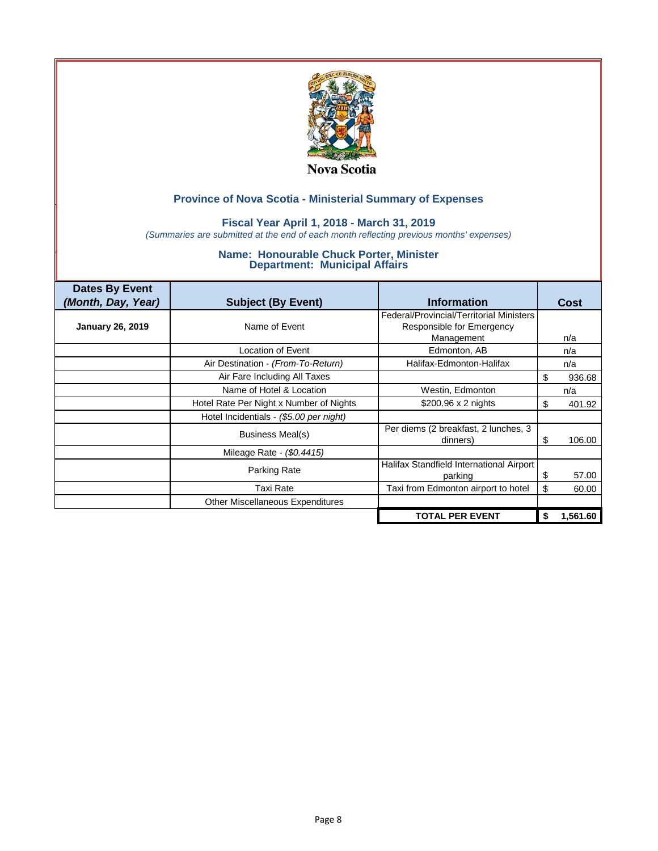

#### **Fiscal Year April 1, 2018 - March 31, 2019**

*(Summaries are submitted at the end of each month reflecting previous months' expenses)*

| <b>Dates By Event</b><br>(Month, Day, Year) | <b>Subject (By Event)</b>               | <b>Information</b>                                  |    | Cost     |
|---------------------------------------------|-----------------------------------------|-----------------------------------------------------|----|----------|
|                                             |                                         | Federal/Provincial/Territorial Ministers            |    |          |
| <b>January 26, 2019</b>                     | Name of Event                           | Responsible for Emergency                           |    |          |
|                                             |                                         | Management                                          |    | n/a      |
|                                             | Location of Event                       | Edmonton, AB                                        |    | n/a      |
|                                             | Air Destination - (From-To-Return)      | Halifax-Edmonton-Halifax                            |    | n/a      |
|                                             | Air Fare Including All Taxes            |                                                     | \$ | 936.68   |
|                                             | Name of Hotel & Location                | Westin, Edmonton                                    |    | n/a      |
|                                             | Hotel Rate Per Night x Number of Nights | $$200.96 \times 2$ nights                           | S  | 401.92   |
|                                             | Hotel Incidentials - (\$5.00 per night) |                                                     |    |          |
|                                             | Business Meal(s)                        | Per diems (2 breakfast, 2 lunches, 3<br>dinners)    | 8  | 106.00   |
|                                             | Mileage Rate - (\$0.4415)               |                                                     |    |          |
|                                             | Parking Rate                            | Halifax Standfield International Airport<br>parking | \$ | 57.00    |
|                                             | Taxi Rate                               | Taxi from Edmonton airport to hotel                 | \$ | 60.00    |
|                                             | Other Miscellaneous Expenditures        |                                                     |    |          |
|                                             |                                         | <b>TOTAL PER EVENT</b>                              | \$ | 1,561.60 |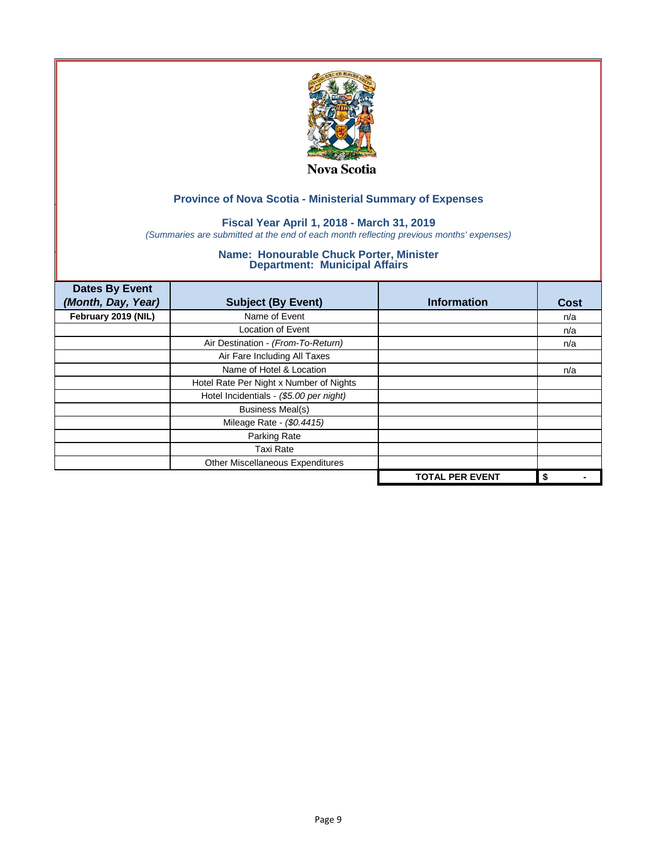

## **Fiscal Year April 1, 2018 - March 31, 2019**

*(Summaries are submitted at the end of each month reflecting previous months' expenses)*

| <b>Dates By Event</b><br>(Month, Day, Year) | <b>Subject (By Event)</b>               | <b>Information</b>     | <b>Cost</b> |
|---------------------------------------------|-----------------------------------------|------------------------|-------------|
| February 2019 (NIL)                         | Name of Event                           |                        | n/a         |
|                                             | <b>Location of Event</b>                |                        | n/a         |
|                                             | Air Destination - (From-To-Return)      |                        | n/a         |
|                                             | Air Fare Including All Taxes            |                        |             |
|                                             | Name of Hotel & Location                |                        | n/a         |
|                                             | Hotel Rate Per Night x Number of Nights |                        |             |
|                                             | Hotel Incidentials - (\$5.00 per night) |                        |             |
|                                             | <b>Business Meal(s)</b>                 |                        |             |
|                                             | Mileage Rate - (\$0.4415)               |                        |             |
|                                             | Parking Rate                            |                        |             |
|                                             | <b>Taxi Rate</b>                        |                        |             |
|                                             | Other Miscellaneous Expenditures        |                        |             |
|                                             |                                         | <b>TOTAL PER EVENT</b> | \$          |